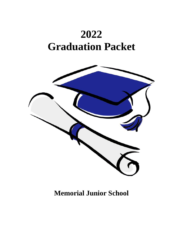# **2022 Graduation Packet**



**Memorial Junior School**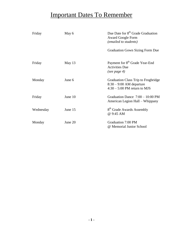# Important Dates To Remember

| Friday    | May 6   | Due Date for 8 <sup>th</sup> Grade Graduation<br><b>Award Google Form</b><br><i>(emailed to students)</i> |
|-----------|---------|-----------------------------------------------------------------------------------------------------------|
|           |         | <b>Graduation Gown Sizing Form Due</b>                                                                    |
| Friday    | May 13  | Payment for 8 <sup>th</sup> Grade Year-End<br><b>Activities Due</b><br>(see page $4$ )                    |
| Monday    | June 6  | Graduation Class Trip to Frogbridge<br>$8:30 - 9:00$ AM departure<br>$4:30 - 5:00$ PM return to MJS       |
| Friday    | June 10 | Graduation Dance $7:00 - 10:00 \text{ PM}$<br>American Legion Hall – Whippany                             |
| Wednesday | June 15 | 8 <sup>th</sup> Grade Awards Assembly<br>@ 9:45 AM                                                        |
| Monday    | June 20 | Graduation 7:00 PM<br>@ Memorial Junior School                                                            |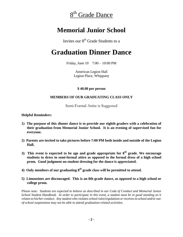### $8<sup>th</sup>$  Grade Dance

### **Memorial Junior School**

Invites our  $8<sup>th</sup>$  Grade Students to a

## **Graduation Dinner Dance**

Friday, June 10 7:00 – 10:00 PM

American Legion Hall Legion Place, Whippany

**\$ 40.00 per person**

#### **MEMBERS OF OUR GRADUATING CLASS ONLY**

Semi-Formal Attire is Suggested

#### **Helpful Reminders:**

- **1) The purpose of this dinner dance is to provide our eighth graders with a celebration of their graduation from Memorial Junior School. It is an evening of supervised fun for everyone.**
- **2) Parents are invited to take pictures before 7:00 PM both inside and outside of the Legion Hall.**
- **3) This event is expected to be age and grade appropriate for 8th grade. We encourage students to dress in semi-formal attire as opposed to the formal dress of a high school prom. Good judgment on student dressing for the dance is appreciated.**
- **4) Only members of our graduating 8th grade class will be permitted to attend.**
- **5) Limousines are discouraged. This is an 8th grade dance, as opposed to a high school or college prom.**

*Please note: Students are expected to behave as described in our Code of Conduct and Memorial Junior School Student Handbook. In order to participate in this event, a student must be in good standing as it relates to his/her conduct. Any student who violates school rules/regulations or receives in-school and/or outof-school suspensions may not be able to attend graduation-related activities.*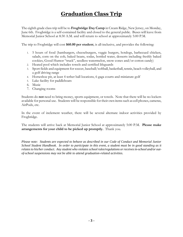### **Graduation Class Trip**

The eighth grade class trip will be to **Frogbridge Day Camp** in Cream Ridge, New Jersey, on Monday, June 6th. Frogbridge is a self-contained facility and closed to the general public. Buses will leave from Memorial Junior School at 8:30 A.M. and will return to school at approximately 5:00 P.M.

The trip to Frogbridge will cost **\$60.00 per student**, is all-inclusive, and provides the following:

- 1. 5 hours of food (hamburgers, cheeseburgers, veggie burgers, hotdogs, barbecued chicken, salads, corn on the cob, baked beans, sodas, bottled water, desserts including freshly baked cookies, Good Humor "truck", seedless watermelon, snow cones and/or cotton candy)
- 2. Heated pool which includes towels and certified lifeguards
- 3. Sport fields and equipment for soccer, baseball/softball, basketball, tennis, beach volleyball, and a golf driving range
- 4. Horseshoe pit, at least 4 tether ball locations, 6 gaga courts and miniature golf
- 5. Lake facility for paddleboats
- 6. Music
- 7. Changing rooms

Students do **not** need to bring money, sports equipment, or towels. Note that there will be no lockers available for personal use. Students will be responsible for their own items such as cell phones, cameras, AirPods, etc.

In the event of inclement weather, there will be several alternate indoor activities provided by Frogbridge.

The students will arrive back at Memorial Junior School at approximately 5:00 P.M. **Please make arrangements for your child to be picked up promptly.** Thank you.

*Please note: Students are expected to behave as described in our Code of Conduct and Memorial Junior School Student Handbook. In order to participate in this event, a student must be in good standing as it relates to his/her conduct. Any student who violates school rules/regulations or receives in-school and/or outof-school suspensions may not be able to attend graduation-related activities.*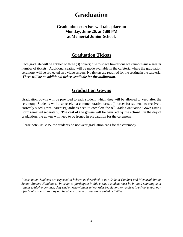### **Graduation**

#### **Graduation exercises will take place on Monday, June 20, at 7:00 PM at Memorial Junior School.**

#### **Graduation Tickets**

Each graduate will be entitled to three (3) tickets; due to space limitations we cannot issue a greater number of tickets. Additional seating will be made available in the cafeteria where the graduation ceremony will be projected on a video screen. No tickets are required for the seating in the cafeteria. *There will be no additional tickets available for the auditorium*.

#### **Graduation Gowns**

Graduation gowns will be provided to each student, which they will be allowed to keep after the ceremony. Students will also receive a commemorative tassel. In order for students to receive a correctly-sized gown, parents/guardians need to complete the  $8<sup>th</sup>$  Grade Graduation Gown Sizing Form (emailed separately). **The cost of the gowns will be covered by the school.** On the day of graduation, the gowns will need to be ironed in preparation for the ceremony.

Please note- At MJS, the students do not wear graduation caps for the ceremony.

*Please note: Students are expected to behave as described in our Code of Conduct and Memorial Junior School Student Handbook. In order to participate in this event, a student must be in good standing as it relates to his/her conduct. Any student who violates school rules/regulations or receives in-school and/or outof-school suspensions may not be able to attend graduation-related activities.*